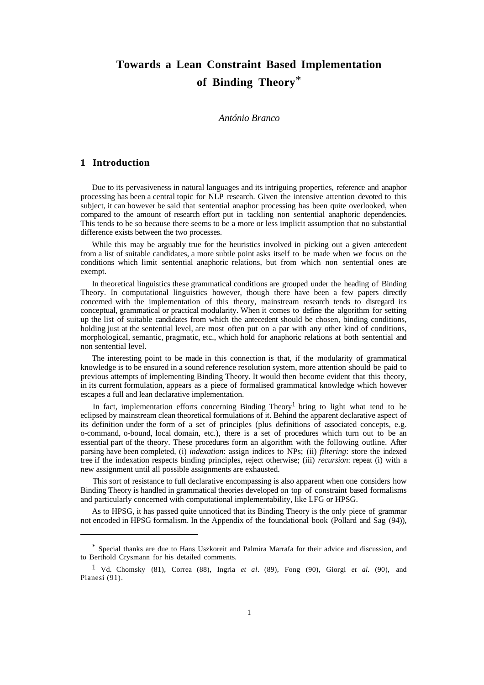# **Towards a Lean Constraint Based Implementation of Binding Theory**\*

#### *António Branco*

## **1 Introduction**

 $\overline{a}$ 

Due to its pervasiveness in natural languages and its intriguing properties, reference and anaphor processing has been a central topic for NLP research. Given the intensive attention devoted to this subject, it can however be said that sentential anaphor processing has been quite overlooked, when compared to the amount of research effort put in tackling non sentential anaphoric dependencies. This tends to be so because there seems to be a more or less implicit assumption that no substantial difference exists between the two processes.

While this may be arguably true for the heuristics involved in picking out a given antecedent from a list of suitable candidates, a more subtle point asks itself to be made when we focus on the conditions which limit sentential anaphoric relations, but from which non sentential ones are exempt.

In theoretical linguistics these grammatical conditions are grouped under the heading of Binding Theory. In computational linguistics however, though there have been a few papers directly concerned with the implementation of this theory, mainstream research tends to disregard its conceptual, grammatical or practical modularity. When it comes to define the algorithm for setting up the list of suitable candidates from which the antecedent should be chosen, binding conditions, holding just at the sentential level, are most often put on a par with any other kind of conditions, morphological, semantic, pragmatic, etc., which hold for anaphoric relations at both sentential and non sentential level.

The interesting point to be made in this connection is that, if the modularity of grammatical knowledge is to be ensured in a sound reference resolution system, more attention should be paid to previous attempts of implementing Binding Theory. It would then become evident that this theory, in its current formulation, appears as a piece of formalised grammatical knowledge which however escapes a full and lean declarative implementation.

In fact, implementation efforts concerning Binding Theory<sup>1</sup> bring to light what tend to be eclipsed by mainstream clean theoretical formulations of it. Behind the apparent declarative aspect of its definition under the form of a set of principles (plus definitions of associated concepts, e.g. o-command, o-bound, local domain, etc.), there is a set of procedures which turn out to be an essential part of the theory. These procedures form an algorithm with the following outline. After parsing have been completed, (i) *indexation*: assign indices to NPs; (ii) *filtering*: store the indexed tree if the indexation respects binding principles, reject otherwise; (iii) *recursion*: repeat (i) with a new assignment until all possible assignments are exhausted.

This sort of resistance to full declarative encompassing is also apparent when one considers how Binding Theory is handled in grammatical theories developed on top of constraint based formalisms and particularly concerned with computational implementability, like LFG or HPSG.

As to HPSG, it has passed quite unnoticed that its Binding Theory is the only piece of grammar not encoded in HPSG formalism. In the Appendix of the foundational book (Pollard and Sag (94)),

<sup>\*</sup> Special thanks are due to Hans Uszkoreit and Palmira Marrafa for their advice and discussion, and to Berthold Crysmann for his detailed comments.

<sup>1</sup> Vd. Chomsky (81), Correa (88), Ingria *et al.* (89), Fong (90), Giorgi *et al.* (90), and Pianesi (91).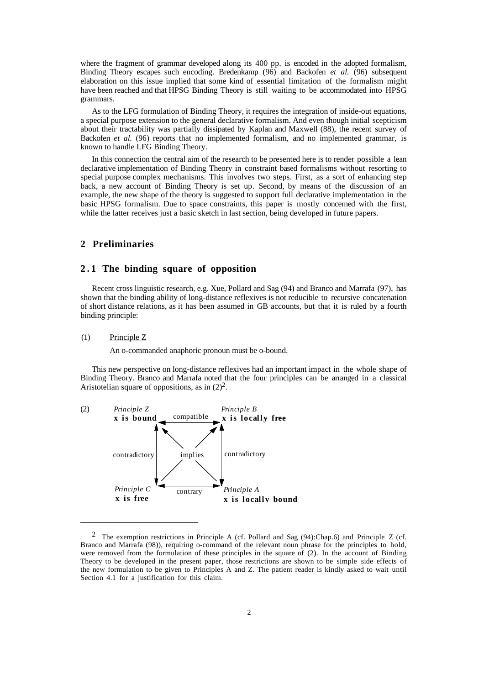where the fragment of grammar developed along its 400 pp. is encoded in the adopted formalism, Binding Theory escapes such encoding. Bredenkamp (96) and Backofen *et al.* (96) subsequent elaboration on this issue implied that some kind of essential limitation of the formalism might have been reached and that HPSG Binding Theory is still waiting to be accommodated into HPSG grammars.

As to the LFG formulation of Binding Theory, it requires the integration of inside-out equations, a special purpose extension to the general declarative formalism. And even though initial scepticism about their tractability was partially dissipated by Kaplan and Maxwell (88), the recent survey of Backofen *et al.* (96) reports that no implemented formalism, and no implemented grammar, is known to handle LFG Binding Theory.

In this connection the central aim of the research to be presented here is to render possible a lean declarative implementation of Binding Theory in constraint based formalisms without resorting to special purpose complex mechanisms. This involves two steps. First, as a sort of enhancing step back, a new account of Binding Theory is set up. Second, by means of the discussion of an example, the new shape of the theory is suggested to support full declarative implementation in the basic HPSG formalism. Due to space constraints, this paper is mostly concerned with the first, while the latter receives just a basic sketch in last section, being developed in future papers.

#### **2 Preliminaries**

#### **2.1 The binding square of opposition**

Recent cross linguistic research, e.g. Xue, Pollard and Sag (94) and Branco and Marrafa (97), has shown that the binding ability of long-distance reflexives is not reducible to recursive concatenation of short distance relations, as it has been assumed in GB accounts, but that it is ruled by a fourth binding principle:

#### (1) Principle Z

 $\overline{a}$ 

An o-commanded anaphoric pronoun must be o-bound.

This new perspective on long-distance reflexives had an important impact in the whole shape of Binding Theory. Branco and Marrafa noted that the four principles can be arranged in a classical Aristotelian square of oppositions, as in  $(2)^2$ .



<sup>2</sup> The exemption restrictions in Principle A (cf. Pollard and Sag (94):Chap.6) and Principle Z (cf. Branco and Marrafa (98)), requiring o-command of the relevant noun phrase for the principles to hold, were removed from the formulation of these principles in the square of (2). In the account of Binding Theory to be developed in the present paper, those restrictions are shown to be simple side effects of the new formulation to be given to Principles A and Z. The patient reader is kindly asked to wait until Section 4.1 for a justification for this claim.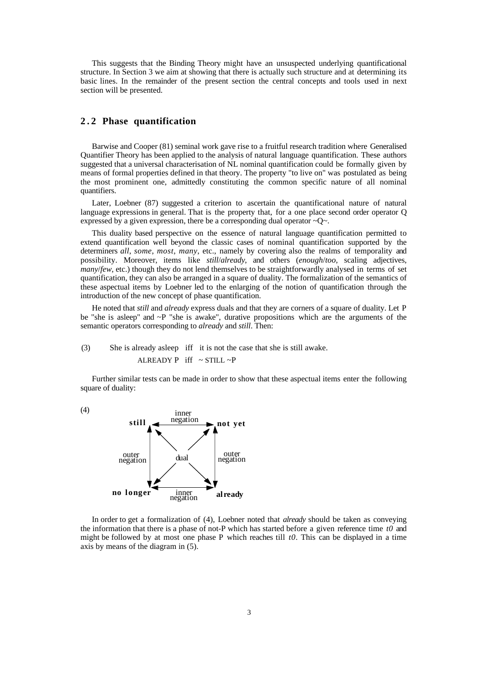This suggests that the Binding Theory might have an unsuspected underlying quantificational structure. In Section 3 we aim at showing that there is actually such structure and at determining its basic lines. In the remainder of the present section the central concepts and tools used in next section will be presented.

# **2.2 Phase quantification**

Barwise and Cooper (81) seminal work gave rise to a fruitful research tradition where Generalised Quantifier Theory has been applied to the analysis of natural language quantification. These authors suggested that a universal characterisation of NL nominal quantification could be formally given by means of formal properties defined in that theory. The property "to live on" was postulated as being the most prominent one, admittedly constituting the common specific nature of all nominal quantifiers.

Later, Loebner (87) suggested a criterion to ascertain the quantificational nature of natural language expressions in general. That is the property that, for a one place second order operator Q expressed by a given expression, there be a corresponding dual operator  $\sim Q_{\sim}$ .

This duality based perspective on the essence of natural language quantification permitted to extend quantification well beyond the classic cases of nominal quantification supported by the determiners *all*, *some*, *most*, *many*, etc., namely by covering also the realms of temporality and possibility. Moreover, items like *still*/*already*, and others (*enough*/*too*, scaling adjectives, *many*/*few*, etc.) though they do not lend themselves to be straightforwardly analysed in terms of set quantification, they can also be arranged in a square of duality. The formalization of the semantics of these aspectual items by Loebner led to the enlarging of the notion of quantification through the introduction of the new concept of phase quantification.

He noted that *still* and *already* express duals and that they are corners of a square of duality. Let P be "she is asleep" and ~P "she is awake", durative propositions which are the arguments of the semantic operators corresponding to *already* and *still*. Then:

# (3) She is already asleep iff it is not the case that she is still awake. ALREADY P iff  $\sim$  STILL  $\sim$ P

Further similar tests can be made in order to show that these aspectual items enter the following square of duality:

dual negation outer negation outer inner<br>negation still **example 10** not yet **no longer already** negation inner

(4)

In order to get a formalization of (4), Loebner noted that *already* should be taken as conveying the information that there is a phase of not-P which has started before a given reference time *t0* and might be followed by at most one phase P which reaches till *t0*. This can be displayed in a time axis by means of the diagram in (5).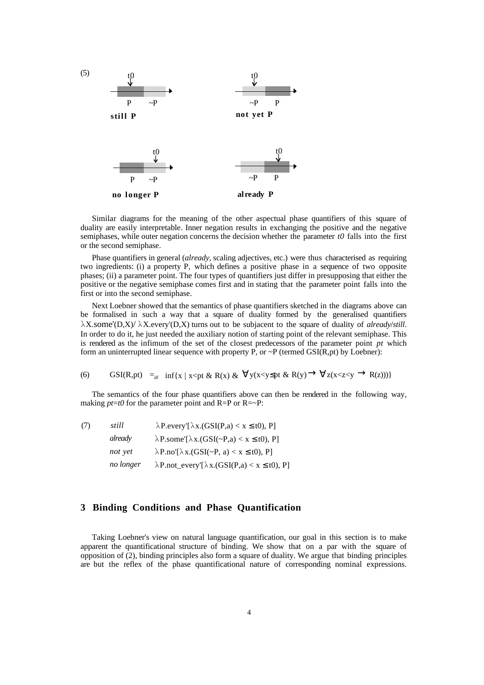

Similar diagrams for the meaning of the other aspectual phase quantifiers of this square of duality are easily interpretable. Inner negation results in exchanging the positive and the negative semiphases, while outer negation concerns the decision whether the parameter *t0* falls into the first or the second semiphase.

Phase quantifiers in general (*already*, scaling adjectives, etc.) were thus characterised as requiring two ingredients: (i) a property P, which defines a positive phase in a sequence of two opposite phases; (ii) a parameter point. The four types of quantifiers just differ in presupposing that either the positive or the negative semiphase comes first and in stating that the parameter point falls into the first or into the second semiphase.

Next Loebner showed that the semantics of phase quantifiers sketched in the diagrams above can be formalised in such a way that a square of duality formed by the generalised quantifiers  $\lambda$ X.some'(D,X)/ $\lambda$ X.every'(D,X) turns out to be subjacent to the square of duality of *already/still*. In order to do it, he just needed the auxiliary notion of starting point of the relevant semiphase. This is rendered as the infimum of the set of the closest predecessors of the parameter point *pt* which form an uninterrupted linear sequence with property P, or  $\sim P$  (termed GSI(R,pt) by Loebner):

(6) GSI(R, pt) =  
if 
$$
\inf\{x \mid x \leq pt \& R(x) \& \forall y(x < y \leq pt \& R(y) \rightarrow \forall z(x < z < y \rightarrow R(z)))\}
$$

The semantics of the four phase quantifiers above can then be rendered in the following way, making  $pt=t0$  for the parameter point and  $R=$ P or  $R = \sim P$ :

| (7) | still     | $\lambda$ P.every'[ $\lambda$ x.(GSI(P,a) < x ≤ t0), P]     |
|-----|-----------|-------------------------------------------------------------|
|     | already   | $\lambda$ P.some'[ $\lambda$ x.(GSI(~P,a) < x ≤ t0), P]     |
|     | not yet   | $\lambda$ P.no'[ $\lambda$ x.(GSI(~P, a) < x ≤ t0), P]      |
|     | no longer | $\lambda$ P.not_every'[ $\lambda$ x.(GSI(P,a) < x ≤ t0), P] |

#### **3 Binding Conditions and Phase Quantification**

Taking Loebner's view on natural language quantification, our goal in this section is to make apparent the quantificational structure of binding. We show that on a par with the square of opposition of (2), binding principles also form a square of duality. We argue that binding principles are but the reflex of the phase quantificational nature of corresponding nominal expressions.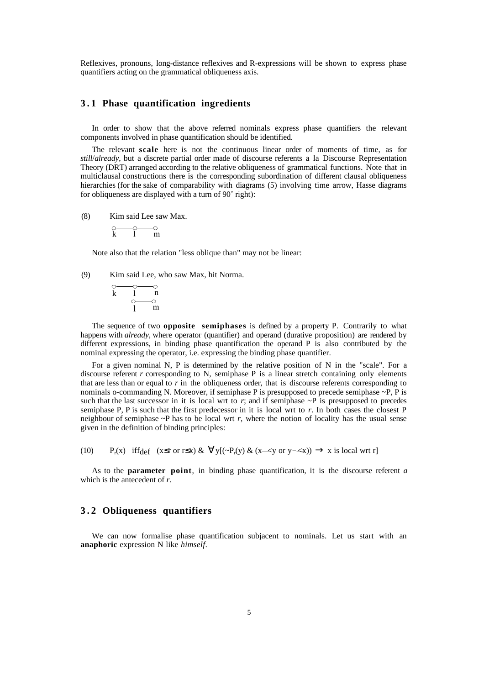Reflexives, pronouns, long-distance reflexives and R-expressions will be shown to express phase quantifiers acting on the grammatical obliqueness axis.

# **3.1 Phase quantification ingredients**

In order to show that the above referred nominals express phase quantifiers the relevant components involved in phase quantification should be identified.

The relevant **scale** here is not the continuous linear order of moments of time, as for *still*/*already*, but a discrete partial order made of discourse referents a la Discourse Representation Theory (DRT) arranged according to the relative obliqueness of grammatical functions. Note that in multiclausal constructions there is the corresponding subordination of different clausal obliqueness hierarchies (for the sake of comparability with diagrams (5) involving time arrow, Hasse diagrams for obliqueness are displayed with a turn of 90˚ right):

(8) Kim said Lee saw Max.

$$
\begin{array}{cc}\n\circ & \circ & \circ \\
k & 1 & m\n\end{array}
$$

Note also that the relation "less oblique than" may not be linear:

(9) Kim said Lee, who saw Max, hit Norma.

$$
\begin{matrix} \circ & \circ & \circ \\ k & 1 & n \\ \circ & \circ & \circ \\ 1 & m \end{matrix}
$$

The sequence of two **opposite semiphases** is defined by a property P. Contrarily to what happens with *already*, where operator (quantifier) and operand (durative proposition) are rendered by different expressions, in binding phase quantification the operand P is also contributed by the nominal expressing the operator, i.e. expressing the binding phase quantifier.

For a given nominal N, P is determined by the relative position of N in the "scale". For a discourse referent *r* corresponding to N, semiphase P is a linear stretch containing only elements that are less than or equal to  $r$  in the obliqueness order, that is discourse referents corresponding to nominals o-commanding N. Moreover, if semiphase P is presupposed to precede semiphase ~P, P is such that the last successor in it is local wrt to  $r$ ; and if semiphase  $\sim P$  is presupposed to precedes semiphase P, P is such that the first predecessor in it is local wrt to *r*. In both cases the closest P neighbour of semiphase ~P has to be local wrt *r*, where the notion of locality has the usual sense given in the definition of binding principles:

 $(10)$ (x) if  $f_{def}$  (x  $\leq r$  or  $r \leq x$ )  $\& \forall y [(-P_r(y) \& (x \leq y \text{ or } y \leq x)) \rightarrow x \text{ is local wrt } r]$ 

As to the **parameter point**, in binding phase quantification, it is the discourse referent *a* which is the antecedent of *r*.

# **3.2 Obliqueness quantifiers**

We can now formalise phase quantification subjacent to nominals. Let us start with an **anaphoric** expression N like *himself*.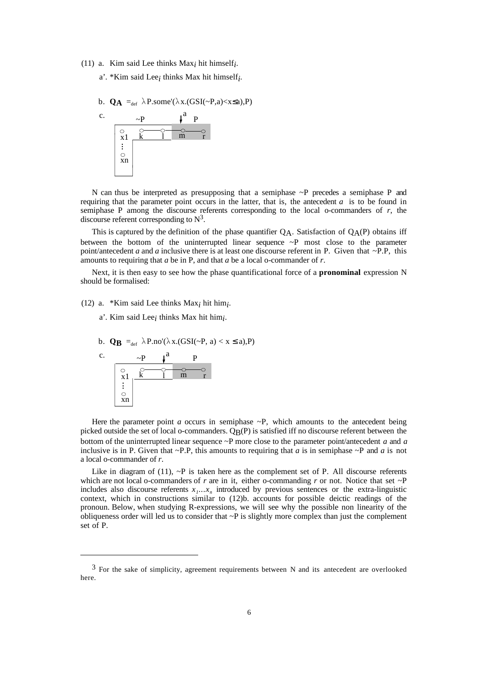(11) a. Kim said Lee thinks  $Max_i$  hit himself<sub>i</sub>.

a'. \*Kim said Lee*i* thinks Max hit himself*i* .

b. 
$$
Q_A =_{def} \lambda P.some'(\lambda x.(GSI(\sim P,a)
$$



N can thus be interpreted as presupposing that a semiphase  $\sim$ P precedes a semiphase P and requiring that the parameter point occurs in the latter, that is, the antecedent *a* is to be found in semiphase P among the discourse referents corresponding to the local o-commanders of *r*, the discourse referent corresponding to  $N^3$ .

This is captured by the definition of the phase quantifier  $Q_A$ . Satisfaction of  $Q_A(P)$  obtains iff between the bottom of the uninterrupted linear sequence  $\sim P$  most close to the parameter point/antecedent *a* and *a* inclusive there is at least one discourse referent in P. Given that ~P.P, this amounts to requiring that *a* be in P, and that *a* be a local o-commander of *r*.

Next, it is then easy to see how the phase quantificational force of a **pronominal** expression N should be formalised:

(12) a. \*Kim said Lee thinks  $Max_i$  hit him<sub>i</sub>.

- a'. Kim said Lee*i* thinks Max hit him*i* .
- b. **QB** =<sub>def</sub>  $\lambda$ P.no'( $\lambda$ x.(GSI(~P, a) < x ≤ a),P)



 $\overline{a}$ 

Here the parameter point *a* occurs in semiphase  $\sim P$ , which amounts to the antecedent being picked outside the set of local o-commanders.  $Q_B(P)$  is satisfied iff no discourse referent between the bottom of the uninterrupted linear sequence ~P more close to the parameter point/antecedent *a* and *a* inclusive is in P. Given that  $\sim$  P.P, this amounts to requiring that *a* is in semiphase  $\sim$  P and *a* is not a local o-commander of *r*.

Like in diagram of (11),  $\sim$ P is taken here as the complement set of P. All discourse referents which are not local o-commanders of *r* are in it, either o-commanding *r* or not. Notice that set ~P includes also discourse referents  $x_1...x_n$  introduced by previous sentences or the extra-linguistic context, which in constructions similar to (12)b. accounts for possible deictic readings of the pronoun. Below, when studying R-expressions, we will see why the possible non linearity of the obliqueness order will led us to consider that  $\sim P$  is slightly more complex than just the complement set of P.

 $3$  For the sake of simplicity, agreement requirements between N and its antecedent are overlooked here.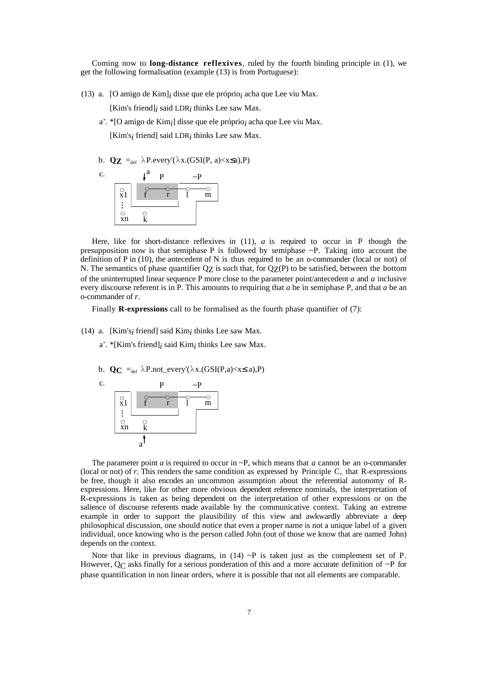Coming now to **long-distance reflexives**, ruled by the fourth binding principle in (1), we get the following formalisation (example (13) is from Portuguese):

(13) a. [O amigo de Kim]<sub>*i*</sub> disse que ele próprio<sub>*i*</sub> acha que Lee viu Max.

[Kim's friend] $_i$  said LDR $_i$  thinks Lee saw Max.

a'. \*[O amigo de Kim*i* ] disse que ele próprio*i* acha que Lee viu Max.

[Kim's*i* friend] said LDR*i* thinks Lee saw Max.

b. **Qz** =<sub>def</sub>  $\lambda$ P.every'( $\lambda$ x.(GSI(P, a)<x≤a),P)



Here, like for short-distance reflexives in (11), *a* is required to occur in P though the presupposition now is that semiphase P is followed by semiphase  $\sim$ P. Taking into account the definition of P in (10), the antecedent of N is thus required to be an o-commander (local or not) of N. The semantics of phase quantifier  $Q_Z$  is such that, for  $Q_Z(P)$  to be satisfied, between the bottom of the uninterrupted linear sequence P more close to the parameter point/antecedent *a* and *a* inclusive every discourse referent is in P. This amounts to requiring that *a* be in semiphase P, and that *a* be an o-commander of *r*.

Finally **R-expressions** call to be formalised as the fourth phase quantifier of (7):

- (14) a. [Kim's<sub>*i*</sub> friend] said Kim<sub>*i*</sub> thinks Lee saw Max.
	- a'. \*[Kim's friend]*i* said Kim*i* thinks Lee saw Max.
	- b.  $\mathbf{Q}_C =_{def} \lambda P.not\_every'(\lambda x.(GSI(P,a)$



The parameter point *a* is required to occur in  $\sim$ P, which means that *a* cannot be an o-commander (local or not) of *r*. This renders the same condition as expressed by Principle C, that R-expressions be free, though it also encodes an uncommon assumption about the referential autonomy of Rexpressions. Here, like for other more obvious dependent reference nominals, the interpretation of R-expressions is taken as being dependent on the interpretation of other expressions or on the salience of discourse referents made available by the communicative context. Taking an extreme example in order to support the plausibility of this view and awkwardly abbreviate a deep philosophical discussion, one should notice that even a proper name is not a unique label of a given individual, once knowing who is the person called John (out of those we know that are named John) depends on the context.

Note that like in previous diagrams, in  $(14) \sim P$  is taken just as the complement set of P. However,  $Q_C$  asks finally for a serious ponderation of this and a more accurate definition of  $\sim P$  for phase quantification in non linear orders, where it is possible that not all elements are comparable.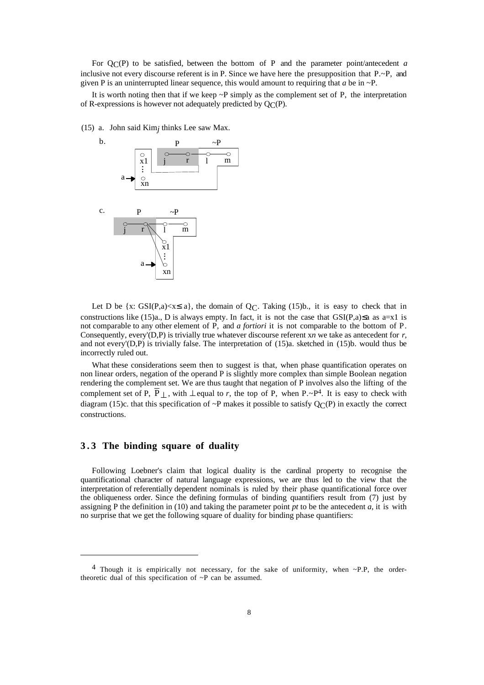For QC(P) to be satisfied, between the bottom of P and the parameter point/antecedent *a* inclusive not every discourse referent is in P. Since we have here the presupposition that  $P.\sim P$ , and given P is an uninterrupted linear sequence, this would amount to requiring that *a* be in ~P.

It is worth noting then that if we keep  $\sim$ P simply as the complement set of P, the interpretation of R-expressions is however not adequately predicted by  $Q_{\Gamma}(P)$ .

(15) a. John said Kim*j* thinks Lee saw Max.



Let D be  $\{x: GSI(P,a) \le x \le a\}$ , the domain of  $Q_C$ . Taking (15)b., it is easy to check that in constructions like (15)a., D is always empty. In fact, it is not the case that  $GSI(P,a) \le a$  as a=x1 is not comparable to any other element of P, and *a fortiori* it is not comparable to the bottom of P. Consequently, every'(D,P) is trivially true whatever discourse referent x*n* we take as antecedent for *r*, and not every'(D,P) is trivially false. The interpretation of (15)a. sketched in (15)b. would thus be incorrectly ruled out.

What these considerations seem then to suggest is that, when phase quantification operates on non linear orders, negation of the operand P is slightly more complex than simple Boolean negation rendering the complement set. We are thus taught that negation of P involves also the lifting of the complement set of P,  $\overline{P}_\perp$ , with  $\perp$  equal to *r*, the top of P, when P.~P<sup>4</sup>. It is easy to check with diagram (15)c. that this specification of ~P makes it possible to satisfy  $Q_{\mathbb{C}}(P)$  in exactly the correct constructions.

#### **3.3 The binding square of duality**

 $\overline{a}$ 

Following Loebner's claim that logical duality is the cardinal property to recognise the quantificational character of natural language expressions, we are thus led to the view that the interpretation of referentially dependent nominals is ruled by their phase quantificational force over the obliqueness order. Since the defining formulas of binding quantifiers result from (7) just by assigning P the definition in (10) and taking the parameter point  $pt$  to be the antecedent  $a$ , it is with no surprise that we get the following square of duality for binding phase quantifiers:

<sup>&</sup>lt;sup>4</sup> Though it is empirically not necessary, for the sake of uniformity, when  $\sim$ P.P, the ordertheoretic dual of this specification of ~P can be assumed.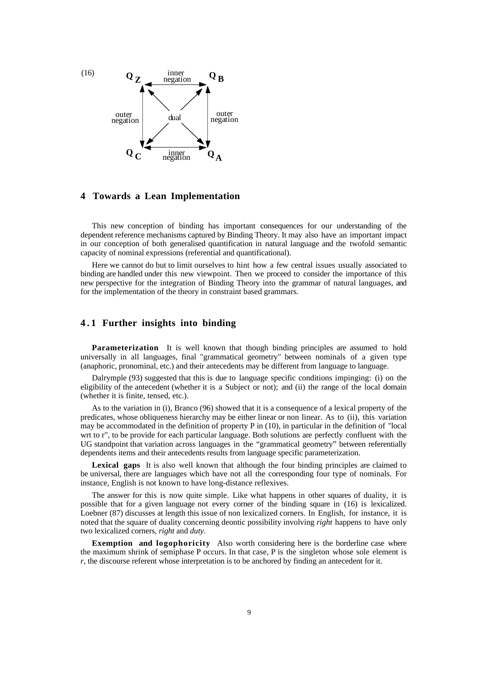

# **4 Towards a Lean Implementation**

This new conception of binding has important consequences for our understanding of the dependent reference mechanisms captured by Binding Theory. It may also have an important impact in our conception of both generalised quantification in natural language and the twofold semantic capacity of nominal expressions (referential and quantificational).

Here we cannot do but to limit ourselves to hint how a few central issues usually associated to binding are handled under this new viewpoint. Then we proceed to consider the importance of this new perspective for the integration of Binding Theory into the grammar of natural languages, and for the implementation of the theory in constraint based grammars.

#### **4.1 Further insights into binding**

**Parameterization** It is well known that though binding principles are assumed to hold universally in all languages, final "grammatical geometry" between nominals of a given type (anaphoric, pronominal, etc.) and their antecedents may be different from language to language.

Dalrymple (93) suggested that this is due to language specific conditions impinging: (i) on the eligibility of the antecedent (whether it is a Subject or not); and (ii) the range of the local domain (whether it is finite, tensed, etc.).

As to the variation in (i), Branco (96) showed that it is a consequence of a lexical property of the predicates, whose obliqueness hierarchy may be either linear or non linear. As to (ii), this variation may be accommodated in the definition of property P in (10), in particular in the definition of "local wrt to r", to be provide for each particular language. Both solutions are perfectly confluent with the UG standpoint that variation across languages in the "grammatical geometry" between referentially dependents items and their antecedents results from language specific parameterization.

Lexical gaps It is also well known that although the four binding principles are claimed to be universal, there are languages which have not all the corresponding four type of nominals. For instance, English is not known to have long-distance reflexives.

The answer for this is now quite simple. Like what happens in other squares of duality, it is possible that for a given language not every corner of the binding square in (16) is lexicalized. Loebner (87) discusses at length this issue of non lexicalized corners. In English, for instance, it is noted that the square of duality concerning deontic possibility involving *right* happens to have only two lexicalized corners, *right* and *duty*.

**Exemption and logophoricity** Also worth considering here is the borderline case where the maximum shrink of semiphase P occurs. In that case, P is the singleton whose sole element is *r*, the discourse referent whose interpretation is to be anchored by finding an antecedent for it.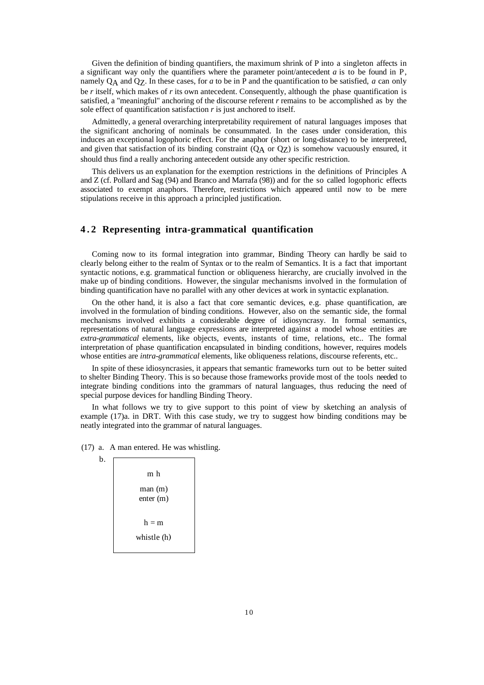Given the definition of binding quantifiers, the maximum shrink of P into a singleton affects in a significant way only the quantifiers where the parameter point/antecedent *a* is to be found in P, namely QA and QZ. In these cases, for *a* to be in P and the quantification to be satisfied, *a* can only be *r* itself, which makes of *r* its own antecedent. Consequently, although the phase quantification is satisfied, a "meaningful" anchoring of the discourse referent *r* remains to be accomplished as by the sole effect of quantification satisfaction *r* is just anchored to itself.

Admittedly, a general overarching interpretability requirement of natural languages imposes that the significant anchoring of nominals be consummated. In the cases under consideration, this induces an exceptional logophoric effect. For the anaphor (short or long-distance) to be interpreted, and given that satisfaction of its binding constraint  $(Q<sub>A</sub>$  or  $Q<sub>Z</sub>)$  is somehow vacuously ensured, it should thus find a really anchoring antecedent outside any other specific restriction.

This delivers us an explanation for the exemption restrictions in the definitions of Principles A and Z (cf. Pollard and Sag (94) and Branco and Marrafa (98)) and for the so called logophoric effects associated to exempt anaphors. Therefore, restrictions which appeared until now to be mere stipulations receive in this approach a principled justification.

# **4.2 Representing intra-grammatical quantification**

Coming now to its formal integration into grammar, Binding Theory can hardly be said to clearly belong either to the realm of Syntax or to the realm of Semantics. It is a fact that important syntactic notions, e.g. grammatical function or obliqueness hierarchy, are crucially involved in the make up of binding conditions. However, the singular mechanisms involved in the formulation of binding quantification have no parallel with any other devices at work in syntactic explanation.

On the other hand, it is also a fact that core semantic devices, e.g. phase quantification, are involved in the formulation of binding conditions. However, also on the semantic side, the formal mechanisms involved exhibits a considerable degree of idiosyncrasy. In formal semantics, representations of natural language expressions are interpreted against a model whose entities are *extra-grammatical* elements, like objects, events, instants of time, relations, etc.. The formal interpretation of phase quantification encapsulated in binding conditions, however, requires models whose entities are *intra-grammatical* elements, like obliqueness relations, discourse referents, etc..

In spite of these idiosyncrasies, it appears that semantic frameworks turn out to be better suited to shelter Binding Theory. This is so because those frameworks provide most of the tools needed to integrate binding conditions into the grammars of natural languages, thus reducing the need of special purpose devices for handling Binding Theory.

In what follows we try to give support to this point of view by sketching an analysis of example (17)a. in DRT. With this case study, we try to suggest how binding conditions may be neatly integrated into the grammar of natural languages.

(17) a. A man entered. He was whistling.

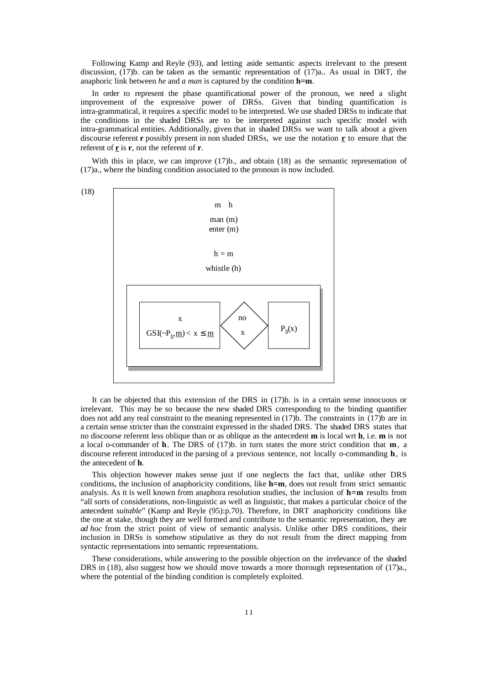Following Kamp and Reyle (93), and letting aside semantic aspects irrelevant to the present discussion, (17)b. can be taken as the semantic representation of (17)a.. As usual in DRT, the anaphoric link between *he* and *a man* is captured by the condition **h=m**.

In order to represent the phase quantificational power of the pronoun, we need a slight improvement of the expressive power of DRSs. Given that binding quantification is intra-grammatical, it requires a specific model to be interpreted. We use shaded DRSs to indicate that the conditions in the shaded DRSs are to be interpreted against such specific model with intra-grammatical entities. Additionally, given that in shaded DRSs we want to talk about a given discourse referent **r** possibly present in non shaded DRSs, we use the notation **r** to ensure that the referent of **r** is **r**, not the referent of **r**.

With this in place, we can improve  $(17)$ b., and obtain  $(18)$  as the semantic representation of (17)a., where the binding condition associated to the pronoun is now included.



It can be objected that this extension of the DRS in (17)b. is in a certain sense innocuous or irrelevant. This may be so because the new shaded DRS corresponding to the binding quantifier does not add any real constraint to the meaning represented in (17)b. The constraints in (17)b are in a certain sense stricter than the constraint expressed in the shaded DRS. The shaded DRS states that no discourse referent less oblique than or as oblique as the antecedent **m** is local wrt **h**, i.e. **m** is not a local o-commander of **h**. The DRS of (17)b. in turn states the more strict condition that **m**, a discourse referent introduced in the parsing of a previous sentence, not locally o-commanding **h**, is the antecedent of **h**.

This objection however makes sense just if one neglects the fact that, unlike other DRS conditions, the inclusion of anaphoricity conditions, like **h=m**, does not result from strict semantic analysis. As it is well known from anaphora resolution studies, the inclusion of **h=m** results from "all sorts of considerations, non-linguistic as well as linguistic, that makes a particular choice of the antecedent *suitable*" (Kamp and Reyle (95):p.70). Therefore, in DRT anaphoricity conditions like the one at stake, though they are well formed and contribute to the semantic representation, they are *ad hoc* from the strict point of view of semantic analysis. Unlike other DRS conditions, their inclusion in DRSs is somehow stipulative as they do not result from the direct mapping from syntactic representations into semantic representations.

These considerations, while answering to the possible objection on the irrelevance of the shaded DRS in (18), also suggest how we should move towards a more thorough representation of (17)a., where the potential of the binding condition is completely exploited.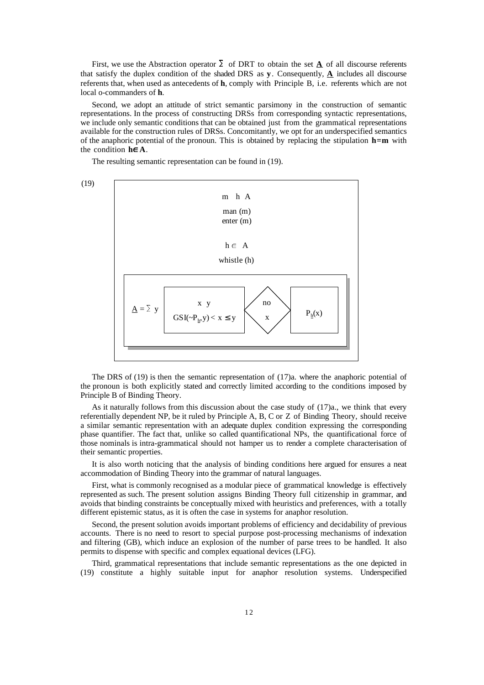First, we use the Abstraction operator  $\Sigma$  of DRT to obtain the set  $\underline{A}$  of all discourse referents that satisfy the duplex condition of the shaded DRS as  $\bf{y}$ . Consequently,  $\bf{\underline{A}}$  includes all discourse referents that, when used as antecedents of **h**, comply with Principle B, i.e. referents which are not local o-commanders of **h**.

Second, we adopt an attitude of strict semantic parsimony in the construction of semantic representations. In the process of constructing DRSs from corresponding syntactic representations, we include only semantic conditions that can be obtained just from the grammatical representations available for the construction rules of DRSs. Concomitantly, we opt for an underspecified semantics of the anaphoric potential of the pronoun. This is obtained by replacing the stipulation **h=m** with the condition  $h \in A$ .

The resulting semantic representation can be found in (19).



The DRS of (19) is then the semantic representation of (17)a. where the anaphoric potential of the pronoun is both explicitly stated and correctly limited according to the conditions imposed by Principle B of Binding Theory.

As it naturally follows from this discussion about the case study of (17)a., we think that every referentially dependent NP, be it ruled by Principle A, B, C or Z of Binding Theory, should receive a similar semantic representation with an adequate duplex condition expressing the corresponding phase quantifier. The fact that, unlike so called quantificational NPs, the quantificational force of those nominals is intra-grammatical should not hamper us to render a complete characterisation of their semantic properties.

It is also worth noticing that the analysis of binding conditions here argued for ensures a neat accommodation of Binding Theory into the grammar of natural languages.

First, what is commonly recognised as a modular piece of grammatical knowledge is effectively represented as such. The present solution assigns Binding Theory full citizenship in grammar, and avoids that binding constraints be conceptually mixed with heuristics and preferences, with a totally different epistemic status, as it is often the case in systems for anaphor resolution.

Second, the present solution avoids important problems of efficiency and decidability of previous accounts. There is no need to resort to special purpose post-processing mechanisms of indexation and filtering (GB), which induce an explosion of the number of parse trees to be handled. It also permits to dispense with specific and complex equational devices (LFG).

Third, grammatical representations that include semantic representations as the one depicted in (19) constitute a highly suitable input for anaphor resolution systems. Underspecified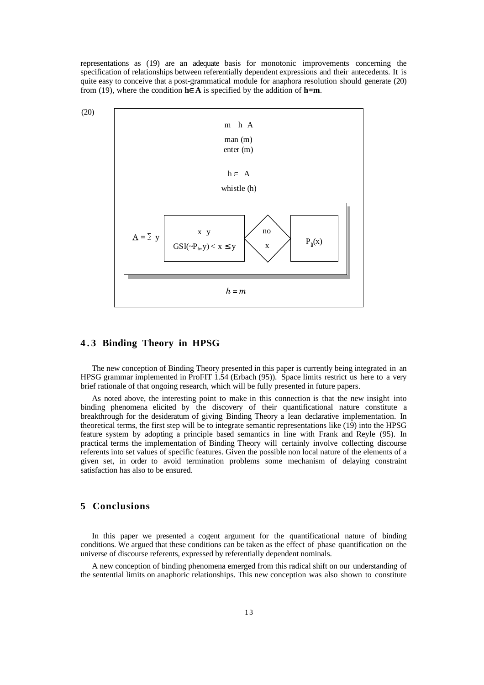representations as (19) are an adequate basis for monotonic improvements concerning the specification of relationships between referentially dependent expressions and their antecedents. It is quite easy to conceive that a post-grammatical module for anaphora resolution should generate (20) from (19), where the condition  $h \in A$  is specified by the addition of  $h=m$ .



## **4.3 Binding Theory in HPSG**

The new conception of Binding Theory presented in this paper is currently being integrated in an HPSG grammar implemented in ProFIT 1.54 (Erbach (95)). Space limits restrict us here to a very brief rationale of that ongoing research, which will be fully presented in future papers.

As noted above, the interesting point to make in this connection is that the new insight into binding phenomena elicited by the discovery of their quantificational nature constitute a breakthrough for the desideratum of giving Binding Theory a lean declarative implementation. In theoretical terms, the first step will be to integrate semantic representations like (19) into the HPSG feature system by adopting a principle based semantics in line with Frank and Reyle (95). In practical terms the implementation of Binding Theory will certainly involve collecting discourse referents into set values of specific features. Given the possible non local nature of the elements of a given set, in order to avoid termination problems some mechanism of delaying constraint satisfaction has also to be ensured.

## **5 Conclusions**

In this paper we presented a cogent argument for the quantificational nature of binding conditions. We argued that these conditions can be taken as the effect of phase quantification on the universe of discourse referents, expressed by referentially dependent nominals.

A new conception of binding phenomena emerged from this radical shift on our understanding of the sentential limits on anaphoric relationships. This new conception was also shown to constitute